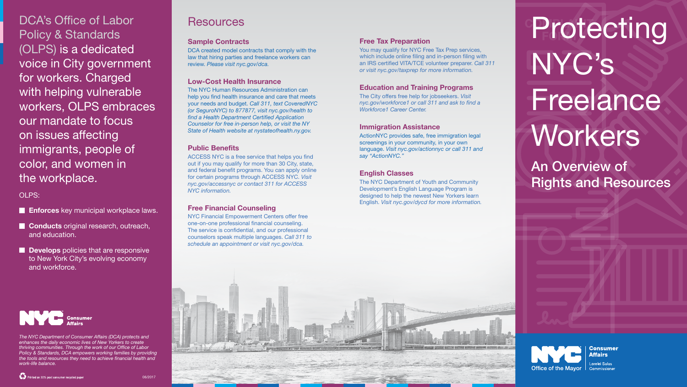An Overview of Rights and Resources





Lorelei Salas Commissioner

DCA's Office of Labor Policy & Standards (OLPS) is a dedicated voice in City government for workers. Charged with helping vulnerable workers, OLPS embraces our mandate to focus on issues affecting immigrants, people of color, and women in the workplace.

- **Enforces** key municipal workplace laws.
- **Conducts** original research, outreach, and education.
- Develops policies that are responsive to New York City's evolving economy and workforce.



OLPS:

*The NYC Department of Consumer Affairs (DCA) protects and enhances the daily economic lives of New Yorkers to create thriving communities. Through the work of our Office of Labor Policy & Standards, DCA empowers working families by providing the tools and resources they need to achieve financial health and work-life balance.*

# **Resources**

# Protecting NYC's Freelance **Workers**

## Sample Contracts

DCA created model contracts that comply with the law that hiring parties and freelance workers can review. *Please visit nyc.gov/dca.*

## Low-Cost Health Insurance

The NYC Human Resources Administration can help you find health insurance and care that meets your needs and budget. *Call 311, text CoveredNYC (or SeguroNYC) to 877877, visit nyc.gov/health to find a Health Department Certified Application Counselor for free in-person help, or visit the NY State of Health website at nystateofhealth.ny.gov.*

### Public Benefits

ACCESS NYC is a free service that helps you find out if you may qualify for more than 30 City, state, and federal benefit programs. You can apply online for certain programs through ACCESS NYC. *Visit nyc.gov/accessnyc or contact 311 for ACCESS NYC information.* 

## Free Financial Counseling

NYC Financial Empowerment Centers offer free one-on-one professional financial counseling. The service is confidential, and our professional counselors speak multiple languages. *Call 311 to schedule an appointment or visit nyc.gov/dca.* 

# Free Tax Preparation

You may qualify for NYC Free Tax Prep services, which include online filing and in-person filing with an IRS certified VITA/TCE volunteer preparer. *Call 311 or visit nyc.gov/taxprep for more information.*

## Education and Training Programs

The City offers free help for jobseekers. *Visit nyc.gov/workforce1 or call 311 and ask to find a Workforce1 Career Center.*

#### Immigration Assistance

ActionNYC provides safe, free immigration legal screenings in your community, in your own language. *Visit nyc.gov/actionnyc or call 311 and say "ActionNYC."*

## English Classes

The NYC Department of Youth and Community Development's English Language Program is designed to help the newest New Yorkers learn English. *Visit nyc.gov/dycd for more information.*